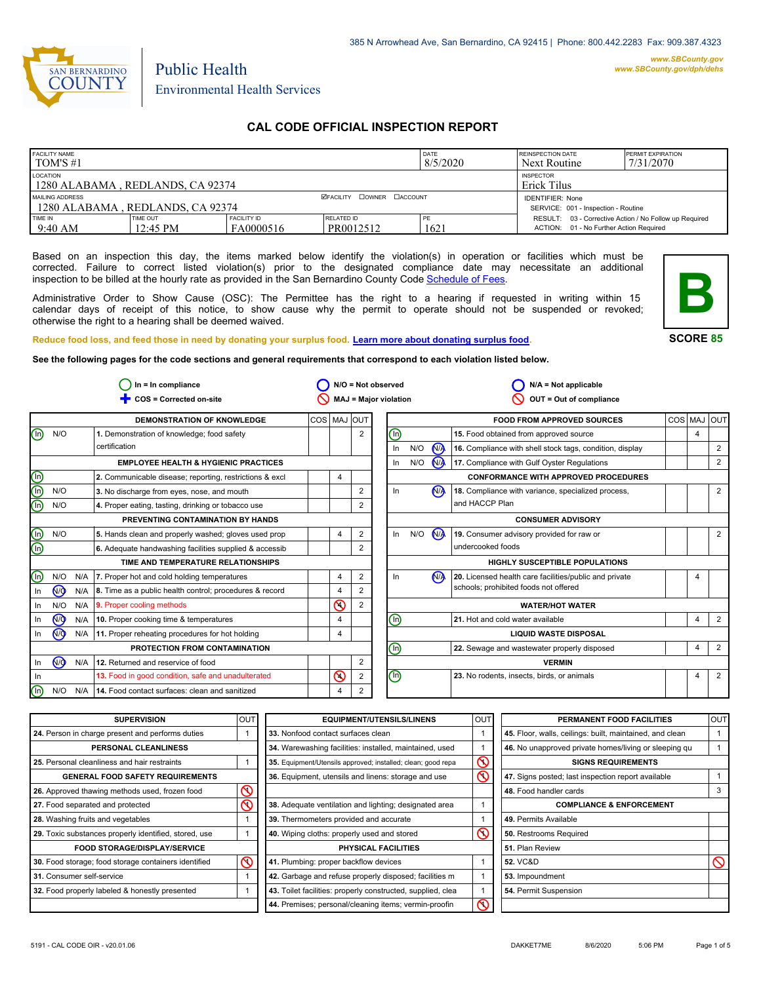

## Public Health Environmental Health Services

## **CAL CODE OFFICIAL INSPECTION REPORT**

| <b>FACILITY NAME</b><br>I TOM'S #1                  |                             |                                 |                                  | <b>DATE</b><br>8/5/2020 | <b>REINSPECTION DATE</b><br>Next Routine                                                          | <b>PERMIT EXPIRATION</b><br>7/31/2070 |
|-----------------------------------------------------|-----------------------------|---------------------------------|----------------------------------|-------------------------|---------------------------------------------------------------------------------------------------|---------------------------------------|
| LOCATION<br>1280 ALABAMA, REDLANDS, CA 92374        |                             |                                 |                                  |                         | <b>INSPECTOR</b><br>Erick Tilus                                                                   |                                       |
| MAILING ADDRESS<br>1280 ALABAMA, REDLANDS, CA 92374 |                             |                                 | <b>ØFACILITY COWNER CACCOUNT</b> |                         | <b>IDENTIFIER: None</b><br>SERVICE: 001 - Inspection - Routine                                    |                                       |
| TIME IN<br>9:40 AM                                  | <b>TIME OUT</b><br>12:45 PM | <b>FACILITY ID</b><br>FA0000516 | RELATED ID<br>PR0012512          | PF<br>1621              | RESULT: 03 - Corrective Action / No Follow up Required<br>ACTION: 01 - No Further Action Required |                                       |

Based on an inspection this day, the items marked below identify the violation(s) in operation or facilities which must be corrected. Failure to correct listed violation(s) prior to the designated compliance date may necessitate an additional inspection to be billed at the hourly rate as provided in the San Bernardino County Co[de Schedule of Fees.](http://www.amlegal.com/nxt/gateway.dll/California/sanbernardinocounty_ca/title1governmentandadministration/division6countyfees/chapter2scheduleoffees?f=templates$fn=default.htm$3.0$vid=amlegal:sanbernardinocounty_ca$anc=JD_16.0213B)

Administrative Order to Show Cause (OSC): The Permittee has the right to a hearing if requested in writing within 15 calendar days of receipt of this notice, to show cause why the permit to operate should not be suspended or revoked; otherwise the right to a hearing shall be deemed waived.



**SCORE 85**

**Reduce food loss, and feed those in need by donating your surplus f[ood. Learn more about donating surplus food.](http://wp.sbcounty.gov/dph/programs/ehs/food-facilities/)**

**See the following pages for the code sections and general requirements that correspond to each violation listed below.**

| $In = In$ compliance      |                | $N/O = Not observed$ |                                                         |             |                |                | $N/A = Not applicable$       |  |     |                      |                                                          |            |         |                |
|---------------------------|----------------|----------------------|---------------------------------------------------------|-------------|----------------|----------------|------------------------------|--|-----|----------------------|----------------------------------------------------------|------------|---------|----------------|
|                           |                |                      | COS = Corrected on-site                                 |             |                |                | MAJ = Major violation        |  |     |                      | OUT = Out of compliance                                  |            |         |                |
|                           |                |                      | DEMONSTRATION OF KNOWLEDGE                              | COS MAJ OUT |                |                |                              |  |     |                      | <b>FOOD FROM APPROVED SOURCES</b>                        | <b>COS</b> | MAJ OUT |                |
| ⑯                         | N/O            |                      | 1. Demonstration of knowledge; food safety              |             |                | 2              | ⓪                            |  |     |                      | 15. Food obtained from approved source                   |            | 4       |                |
|                           |                |                      | certification                                           |             |                |                | In                           |  | N/O | N <sub>A</sub>       | 16. Compliance with shell stock tags, condition, display |            |         | 2              |
|                           |                |                      | <b>EMPLOYEE HEALTH &amp; HYGIENIC PRACTICES</b>         |             |                |                | In                           |  | N/O | <b>NA</b>            | 17. Compliance with Gulf Oyster Regulations              |            |         | 2              |
| (ဖ                        |                |                      | 2. Communicable disease; reporting, restrictions & excl |             | 4              |                |                              |  |     |                      | <b>CONFORMANCE WITH APPROVED PROCEDURES</b>              |            |         |                |
| $\overline{\mathbb{O}}$   | N/O            |                      | 3. No discharge from eyes, nose, and mouth              |             |                | $\overline{2}$ | In                           |  |     | N <sub>A</sub>       | 18. Compliance with variance, specialized process,       |            |         | 2              |
| ⋒                         | N/O            |                      | 4. Proper eating, tasting, drinking or tobacco use      |             |                | 2              |                              |  |     |                      | and HACCP Plan                                           |            |         |                |
|                           |                |                      | PREVENTING CONTAMINATION BY HANDS                       |             |                |                |                              |  |     |                      | <b>CONSUMER ADVISORY</b>                                 |            |         |                |
| <u>(၈</u>                 | N/O            |                      | 5. Hands clean and properly washed; gloves used prop    |             | 4              | $\overline{2}$ | In                           |  | N/O | <b>N<sub>A</sub></b> | 19. Consumer advisory provided for raw or                |            |         | 2              |
| $\overline{\circledcirc}$ |                |                      | 6. Adequate handwashing facilities supplied & accessib  |             |                |                |                              |  |     |                      | undercooked foods                                        |            |         |                |
|                           |                |                      | TIME AND TEMPERATURE RELATIONSHIPS                      |             |                |                |                              |  |     |                      | <b>HIGHLY SUSCEPTIBLE POPULATIONS</b>                    |            |         |                |
| (In)                      | N/O            | N/A                  | 7. Proper hot and cold holding temperatures             |             | 4              | $\overline{2}$ | In                           |  |     | <b>NA</b>            | 20. Licensed health care facilities/public and private   |            | 4       |                |
| In                        | N <sub>O</sub> | N/A                  | 8. Time as a public health control; procedures & record |             | $\overline{4}$ | $\mathfrak{p}$ |                              |  |     |                      | schools; prohibited foods not offered                    |            |         |                |
| In                        | N/O            | N/A                  | 9. Proper cooling methods                               |             | $\odot$        | 2              |                              |  |     |                      | <b>WATER/HOT WATER</b>                                   |            |         |                |
| In                        | @              | N/A                  | 10. Proper cooking time & temperatures                  |             | 4              |                | ⓪                            |  |     |                      | 21. Hot and cold water available                         |            | 4       | $\overline{2}$ |
| In.                       | <b>NO</b>      | N/A                  | 11. Proper reheating procedures for hot holding         |             | 4              |                | <b>LIQUID WASTE DISPOSAL</b> |  |     |                      |                                                          |            |         |                |
|                           |                |                      | PROTECTION FROM CONTAMINATION                           |             |                |                | ⊚                            |  |     |                      | 22. Sewage and wastewater properly disposed              |            | 4       | $\overline{2}$ |
| In                        | N <sub>O</sub> | N/A                  | 12. Returned and reservice of food                      |             |                | $\overline{2}$ |                              |  |     |                      | <b>VERMIN</b>                                            |            |         |                |
| In.                       |                |                      | 13. Food in good condition, safe and unadulterated      |             | $\circledcirc$ | 2              | Θ                            |  |     |                      | 23. No rodents, insects, birds, or animals               |            | 4       | $\overline{2}$ |
| $(\sf In)$                | N/O            | N/A                  | 14. Food contact surfaces: clean and sanitized          |             | 4              | 2              |                              |  |     |                      |                                                          |            |         |                |

| <b>SUPERVISION</b>                                    | lout | <b>EQUIPMENT/UTENSILS/LINENS</b>                             | <b>OUT</b>              | PERMANENT FOOD FACILITIES                                | <b>OUT</b> |
|-------------------------------------------------------|------|--------------------------------------------------------------|-------------------------|----------------------------------------------------------|------------|
| 24. Person in charge present and performs duties      |      | 33. Nonfood contact surfaces clean                           |                         | 45. Floor, walls, ceilings: built, maintained, and clean |            |
| PERSONAL CLEANLINESS                                  |      | 34. Warewashing facilities: installed, maintained, used      |                         | 46. No unapproved private homes/living or sleeping qu    |            |
| 25. Personal cleanliness and hair restraints          |      | 35. Equipment/Utensils approved; installed; clean; good repa | $\mathsf{\circledcirc}$ | <b>SIGNS REQUIREMENTS</b>                                |            |
| <b>GENERAL FOOD SAFETY REQUIREMENTS</b>               |      | 36. Equipment, utensils and linens: storage and use          | $\overline{\circ}$      | 47. Signs posted; last inspection report available       |            |
| 26. Approved thawing methods used, frozen food        |      |                                                              |                         | 48. Food handler cards                                   |            |
| 27. Food separated and protected                      |      | 38. Adequate ventilation and lighting; designated area       |                         | <b>COMPLIANCE &amp; ENFORCEMENT</b>                      |            |
| 28. Washing fruits and vegetables                     |      | 39. Thermometers provided and accurate                       |                         | 49. Permits Available                                    |            |
| 29. Toxic substances properly identified, stored, use |      | 40. Wiping cloths: properly used and stored                  | $\infty$                | 50. Restrooms Required                                   |            |
| <b>FOOD STORAGE/DISPLAY/SERVICE</b>                   |      | <b>PHYSICAL FACILITIES</b>                                   |                         | 51. Plan Review                                          |            |
| 30. Food storage; food storage containers identified  | ∾    | 41. Plumbing: proper backflow devices                        |                         | <b>52. VC&amp;D</b>                                      |            |
| 31. Consumer self-service                             |      | 42. Garbage and refuse properly disposed; facilities m       |                         | 53. Impoundment                                          |            |
| 32. Food properly labeled & honestly presented        |      | 43. Toilet facilities: properly constructed, supplied, clea  |                         | 54. Permit Suspension                                    |            |
|                                                       |      | 44. Premises; personal/cleaning items; vermin-proofin        | $\overline{\circ}$      |                                                          |            |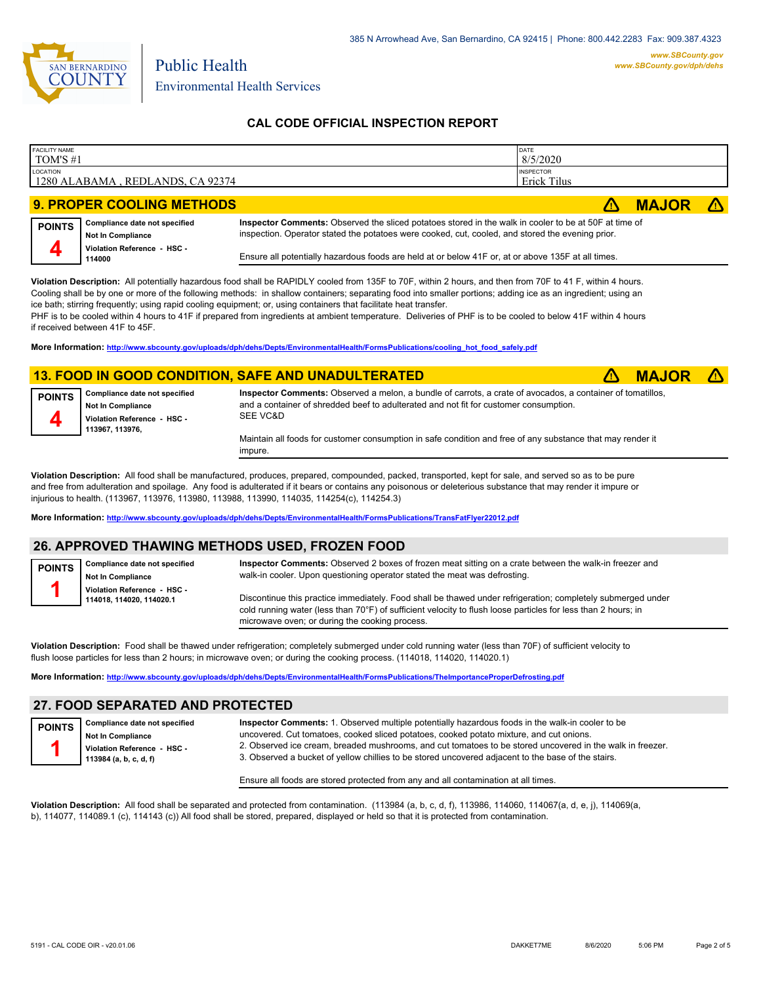

Public Health

## **CAL CODE OFFICIAL INSPECTION REPORT**

| <b>FACILITY NAME</b><br>TOM'S #1 |                                                           |                                                                                                                                                                                                           | DATE<br>8/5/2020                       |              |  |
|----------------------------------|-----------------------------------------------------------|-----------------------------------------------------------------------------------------------------------------------------------------------------------------------------------------------------------|----------------------------------------|--------------|--|
| LOCATION                         | 1280 ALABAMA, REDLANDS, CA 92374                          |                                                                                                                                                                                                           | <b>INSPECTOR</b><br><b>Erick Tilus</b> |              |  |
|                                  |                                                           |                                                                                                                                                                                                           |                                        |              |  |
|                                  | <b>9. PROPER COOLING METHODS</b>                          |                                                                                                                                                                                                           |                                        | <b>MAJOR</b> |  |
| <b>POINTS</b>                    | Compliance date not specified<br><b>Not In Compliance</b> | Inspector Comments: Observed the sliced potatoes stored in the walk in cooler to be at 50F at time of<br>inspection. Operator stated the potatoes were cooked, cut, cooled, and stored the evening prior. |                                        |              |  |
| 4                                | Violation Reference - HSC -<br>114000                     | Ensure all potentially hazardous foods are held at or below 41F or, at or above 135F at all times.                                                                                                        |                                        |              |  |

**Violation Description:** All potentially hazardous food shall be RAPIDLY cooled from 135F to 70F, within 2 hours, and then from 70F to 41 F, within 4 hours. Cooling shall be by one or more of the following methods: in shallow containers; separating food into smaller portions; adding ice as an ingredient; using an ice bath; stirring frequently; using rapid cooling equipment; or, using containers that facilitate heat transfer.

PHF is to be cooled within 4 hours to 41F if prepared from ingredients at ambient temperature. Deliveries of PHF is to be cooled to below 41F within 4 hours if received between 41F to 45F.

**More Information: [http://www.sbcounty.gov/uploads/dph/dehs/Depts/EnvironmentalHealth/FormsPublications/cooling\\_hot\\_food\\_safely.pdf](http://www.sbcounty.gov/uploads/dph/dehs/Depts/EnvironmentalHealth/FormsPublications/cooling_hot_food_safely.pdf)**

#### **13. FOOD IN GOOD CONDITION, SAFE AND UNADULTERATED** ê**! MAJOR** ê**!**



**Compliance date not specified Not In Compliance Violation Reference - HSC - 113967, 113976,**

**Compliance date not specified**

**Not In Compliance Violation Reference - HSC - 114018, 114020, 114020.1**

**Inspector Comments:** Observed a melon, a bundle of carrots, a crate of avocados, a container of tomatillos, and a container of shredded beef to adulterated and not fit for customer consumption. SEE VC&D

Maintain all foods for customer consumption in safe condition and free of any substance that may render it impure.

**Violation Description:** All food shall be manufactured, produces, prepared, compounded, packed, transported, kept for sale, and served so as to be pure and free from adulteration and spoilage. Any food is adulterated if it bears or contains any poisonous or deleterious substance that may render it impure or injurious to health. (113967, 113976, 113980, 113988, 113990, 114035, 114254(c), 114254.3)

**More Information: <http://www.sbcounty.gov/uploads/dph/dehs/Depts/EnvironmentalHealth/FormsPublications/TransFatFlyer22012.pdf>**

#### **26. APPROVED THAWING METHODS USED, FROZEN FOOD**



**POINTS 4**

> **Inspector Comments:** Observed 2 boxes of frozen meat sitting on a crate between the walk-in freezer and walk-in cooler. Upon questioning operator stated the meat was defrosting.

Discontinue this practice immediately. Food shall be thawed under refrigeration; completely submerged under cold running water (less than 70°F) of sufficient velocity to flush loose particles for less than 2 hours; in microwave oven; or during the cooking process.

**Violation Description:** Food shall be thawed under refrigeration; completely submerged under cold running water (less than 70F) of sufficient velocity to flush loose particles for less than 2 hours; in microwave oven; or during the cooking process. (114018, 114020, 114020.1)

**More Information: <http://www.sbcounty.gov/uploads/dph/dehs/Depts/EnvironmentalHealth/FormsPublications/TheImportanceProperDefrosting.pdf>**

#### **27. FOOD SEPARATED AND PROTECTED**

| <b>POINTS</b> | Compliance date not specified                         |  |  |  |
|---------------|-------------------------------------------------------|--|--|--|
|               | Not In Compliance                                     |  |  |  |
|               | Violation Reference - HSC -<br>113984 (a, b, c, d, f) |  |  |  |
|               |                                                       |  |  |  |

**Inspector Comments:** 1. Observed multiple potentially hazardous foods in the walk-in cooler to be uncovered. Cut tomatoes, cooked sliced potatoes, cooked potato mixture, and cut onions. 2. Observed ice cream, breaded mushrooms, and cut tomatoes to be stored uncovered in the walk in freezer. 3. Observed a bucket of yellow chillies to be stored uncovered adjacent to the base of the stairs.

Ensure all foods are stored protected from any and all contamination at all times.

**Violation Description:** All food shall be separated and protected from contamination. (113984 (a, b, c, d, f), 113986, 114060, 114067(a, d, e, j), 114069(a, b), 114077, 114089.1 (c), 114143 (c)) All food shall be stored, prepared, displayed or held so that it is protected from contamination.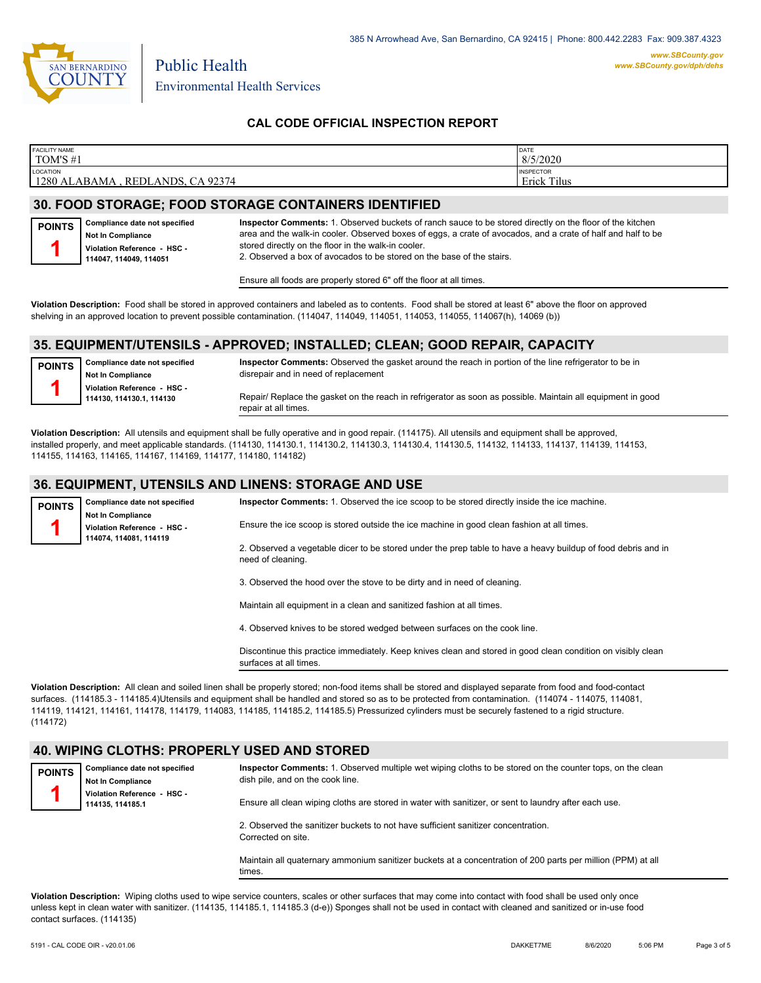

Public Health

## **CAL CODE OFFICIAL INSPECTION REPORT**

| <b>FACILITY NAME</b>                                         | DATE                            |
|--------------------------------------------------------------|---------------------------------|
| TOM'S #1                                                     | 8/5/2020                        |
| <b>LOCATION</b><br>1280 ALABAMA<br>92374<br><b>REDLANDS.</b> | <b>INSPECTOR</b><br>Erick Tilus |

## **30. FOOD STORAGE; FOOD STORAGE CONTAINERS IDENTIFIED**

| <b>POINTS</b> | Compliance date not specified |  |  |  |  |
|---------------|-------------------------------|--|--|--|--|
|               | Not In Compliance             |  |  |  |  |
|               | Violation Reference - HSC -   |  |  |  |  |
|               | 114047, 114049, 114051        |  |  |  |  |

**Inspector Comments:** 1. Observed buckets of ranch sauce to be stored directly on the floor of the kitchen area and the walk-in cooler. Observed boxes of eggs, a crate of avocados, and a crate of half and half to be stored directly on the floor in the walk-in cooler. 2. Observed a box of avocados to be stored on the base of the stairs.

Ensure all foods are properly stored 6" off the floor at all times.

**Violation Description:** Food shall be stored in approved containers and labeled as to contents. Food shall be stored at least 6" above the floor on approved shelving in an approved location to prevent possible contamination. (114047, 114049, 114051, 114053, 114055, 114067(h), 14069 (b))

## **35. EQUIPMENT/UTENSILS - APPROVED; INSTALLED; CLEAN; GOOD REPAIR, CAPACITY**

**Compliance date not specified Not In Compliance Violation Reference - HSC - 114130, 114130.1, 114130 POINTS 1**

**Inspector Comments:** Observed the gasket around the reach in portion of the line refrigerator to be in disrepair and in need of replacement

Repair/ Replace the gasket on the reach in refrigerator as soon as possible. Maintain all equipment in good repair at all times.

**Violation Description:** All utensils and equipment shall be fully operative and in good repair. (114175). All utensils and equipment shall be approved, installed properly, and meet applicable standards. (114130, 114130.1, 114130.2, 114130.3, 114130.4, 114130.5, 114132, 114133, 114137, 114139, 114153, 114155, 114163, 114165, 114167, 114169, 114177, 114180, 114182)

## **36. EQUIPMENT, UTENSILS AND LINENS: STORAGE AND USE**

**Compliance date not specified Not In Compliance Violation Reference - HSC - 114074, 114081, 114119 POINTS 1 Inspector Comments:** 1. Observed the ice scoop to be stored directly inside the ice machine. Ensure the ice scoop is stored outside the ice machine in good clean fashion at all times. 2. Observed a vegetable dicer to be stored under the prep table to have a heavy buildup of food debris and in need of cleaning. 3. Observed the hood over the stove to be dirty and in need of cleaning.

Maintain all equipment in a clean and sanitized fashion at all times.

4. Observed knives to be stored wedged between surfaces on the cook line.

Discontinue this practice immediately. Keep knives clean and stored in good clean condition on visibly clean surfaces at all times.

**Violation Description:** All clean and soiled linen shall be properly stored; non-food items shall be stored and displayed separate from food and food-contact surfaces. (114185.3 - 114185.4)Utensils and equipment shall be handled and stored so as to be protected from contamination. (114074 - 114075, 114081, 114119, 114121, 114161, 114178, 114179, 114083, 114185, 114185.2, 114185.5) Pressurized cylinders must be securely fastened to a rigid structure. (114172)

## **40. WIPING CLOTHS: PROPERLY USED AND STORED**

| <b>POINTS</b> | Compliance date not specified<br><b>Not In Compliance</b> | Inspector Comments: 1. Observed multiple wet wiping cloths to be stored on the counter tops, on the clean<br>dish pile, and on the cook line. |  |  |  |  |  |
|---------------|-----------------------------------------------------------|-----------------------------------------------------------------------------------------------------------------------------------------------|--|--|--|--|--|
|               | Violation Reference - HSC -<br>114135, 114185.1           | Ensure all clean wiping cloths are stored in water with sanitizer, or sent to laundry after each use.                                         |  |  |  |  |  |
|               |                                                           | 2. Observed the sanitizer buckets to not have sufficient sanitizer concentration.<br>Corrected on site.                                       |  |  |  |  |  |
|               |                                                           | Maintain all quaternary ammonium sanitizer buckets at a concentration of 200 parts per million (PPM) at all<br>times.                         |  |  |  |  |  |

**Violation Description:** Wiping cloths used to wipe service counters, scales or other surfaces that may come into contact with food shall be used only once unless kept in clean water with sanitizer. (114135, 114185.1, 114185.3 (d-e)) Sponges shall not be used in contact with cleaned and sanitized or in-use food contact surfaces. (114135)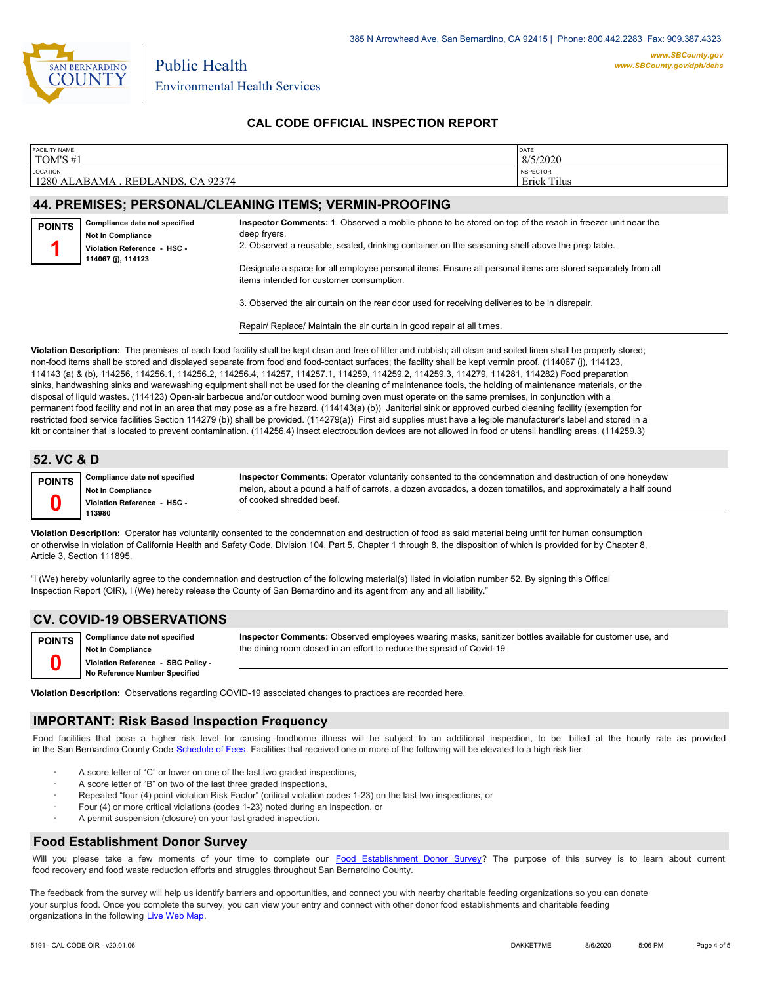

Public Health

## **CAL CODE OFFICIAL INSPECTION REPORT**

| <b>FACILITY NAME</b>                                       | DATE                                   |
|------------------------------------------------------------|----------------------------------------|
| TOM'S #1                                                   | 8/5/2020                               |
| <b>LOCATION</b><br>1280 ALABAMA<br>CA 92374<br>. REDLANDS. | <b>INSPECTOR</b><br><b>Erick Tilus</b> |

#### **44. PREMISES; PERSONAL/CLEANING ITEMS; VERMIN-PROOFING**

| <b>POINTS</b> | Compliance date not specified<br><b>Not In Compliance</b><br>Violation Reference - HSC -<br>114067 (j), 114123 | Inspector Comments: 1. Observed a mobile phone to be stored on top of the reach in freezer unit near the<br>deep fryers.<br>2. Observed a reusable, sealed, drinking container on the seasoning shelf above the prep table. |
|---------------|----------------------------------------------------------------------------------------------------------------|-----------------------------------------------------------------------------------------------------------------------------------------------------------------------------------------------------------------------------|
|               |                                                                                                                | Designate a space for all employee personal items. Ensure all personal items are stored separately from all<br>items intended for customer consumption.                                                                     |

3. Observed the air curtain on the rear door used for receiving deliveries to be in disrepair.

Repair/ Replace/ Maintain the air curtain in good repair at all times.

**Violation Description:** The premises of each food facility shall be kept clean and free of litter and rubbish; all clean and soiled linen shall be properly stored; non-food items shall be stored and displayed separate from food and food-contact surfaces; the facility shall be kept vermin proof. (114067 (j), 114123, 114143 (a) & (b), 114256, 114256.1, 114256.2, 114256.4, 114257, 114257.1, 114259, 114259.2, 114259.3, 114279, 114281, 114282) Food preparation sinks, handwashing sinks and warewashing equipment shall not be used for the cleaning of maintenance tools, the holding of maintenance materials, or the disposal of liquid wastes. (114123) Open-air barbecue and/or outdoor wood burning oven must operate on the same premises, in conjunction with a permanent food facility and not in an area that may pose as a fire hazard. (114143(a) (b)) Janitorial sink or approved curbed cleaning facility (exemption for restricted food service facilities Section 114279 (b)) shall be provided. (114279(a)) First aid supplies must have a legible manufacturer's label and stored in a kit or container that is located to prevent contamination. (114256.4) Insect electrocution devices are not allowed in food or utensil handling areas. (114259.3)

#### **52. VC & D**

**0**

**Compliance date not specified Not In Compliance Violation Reference - HSC - 113980 POINTS**

**Inspector Comments:** Operator voluntarily consented to the condemnation and destruction of one honeydew melon, about a pound a half of carrots, a dozen avocados, a dozen tomatillos, and approximately a half pound of cooked shredded beef.

**Violation Description:** Operator has voluntarily consented to the condemnation and destruction of food as said material being unfit for human consumption or otherwise in violation of California Health and Safety Code, Division 104, Part 5, Chapter 1 through 8, the disposition of which is provided for by Chapter 8, Article 3, Section 111895.

"I (We) hereby voluntarily agree to the condemnation and destruction of the following material(s) listed in violation number 52. By signing this Offical Inspection Report (OIR), I (We) hereby release the County of San Bernardino and its agent from any and all liability."

#### **CV. COVID-19 OBSERVATIONS**

**Compliance date not specified Not In Compliance Violation Reference - SBC Policy - No Reference Number Specified POINTS 0**

**Inspector Comments:** Observed employees wearing masks, sanitizer bottles available for customer use, and the dining room closed in an effort to reduce the spread of Covid-19

**Violation Description:** Observations regarding COVID-19 associated changes to practices are recorded here.

#### **IMPORTANT: Risk Based Inspection Frequency**

Food facilities that pose a higher risk level for causing foodborne illness will be subject to an additional inspection, to be billed at the hourly rate as provided in the San Bernardino Count[y Code Schedule of Fees. Facilitie](http://www.amlegal.com/nxt/gateway.dll/California/sanbernardinocounty_ca/title1governmentandadministration/division6countyfees/chapter2scheduleoffees?f=templates$fn=default.htm$3.0$vid=amlegal:sanbernardinocounty_ca$anc=JD_16.0213B)s that received one or more of the following will be elevated to a high risk tier:

- A score letter of "C" or lower on one of the last two graded inspections,
- A score letter of "B" on two of the last three graded inspections,
- Repeated "four (4) point violation Risk Factor" (critical violation codes 1-23) on the last two inspections, or
- · Four (4) or more critical violations (codes 1-23) noted during an inspection, or
- A permit suspension (closure) on your last graded inspection.

#### **Food Establishment Donor Survey**

Will you please take a few moments of your time to co[mplete our Food Establishment Donor Survey?](https://survey123.arcgis.com/share/626bb0fb21674c82832b0c0d557c5e80?field:faid=FA0000516&field:facility_name=TOM) The purpose of this survey is to learn about current food recovery and food waste reduction efforts and struggles throughout San Bernardino County.

The feedback from the survey will help us identify barriers and opportunities, and connect you with nearby charitable feeding organizations so you can donate your surplus food. Once you complete the survey, you can view your entry and connect with other donor food establishments and charitable feeding organizations in the fol[lowing Live Web Map.](https://arcg.is/WvjGb)